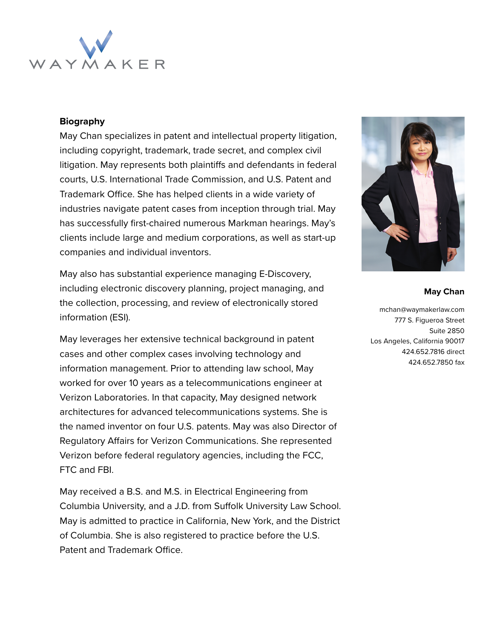

### **Biography**

May Chan specializes in patent and intellectual property litigation, including copyright, trademark, trade secret, and complex civil litigation. May represents both plaintiffs and defendants in federal courts, U.S. International Trade Commission, and U.S. Patent and Trademark Office. She has helped clients in a wide variety of industries navigate patent cases from inception through trial. May has successfully first-chaired numerous Markman hearings. May's clients include large and medium corporations, as well as start-up companies and individual inventors.

May also has substantial experience managing E-Discovery, including electronic discovery planning, project managing, and the collection, processing, and review of electronically stored information (ESI).

May leverages her extensive technical background in patent cases and other complex cases involving technology and information management. Prior to attending law school, May worked for over 10 years as a telecommunications engineer at Verizon Laboratories. In that capacity, May designed network architectures for advanced telecommunications systems. She is the named inventor on four U.S. patents. May was also Director of Regulatory Affairs for Verizon Communications. She represented Verizon before federal regulatory agencies, including the FCC, FTC and FBI.

May received a B.S. and M.S. in Electrical Engineering from Columbia University, and a J.D. from Suffolk University Law School. May is admitted to practice in California, New York, and the District of Columbia. She is also registered to practice before the U.S. Patent and Trademark Office.



#### **May Chan**

mchan@waymakerlaw.com 777 S. Figueroa Street Suite 2850 Los Angeles, California 90017 424.652.7816 direct 424.652.7850 fax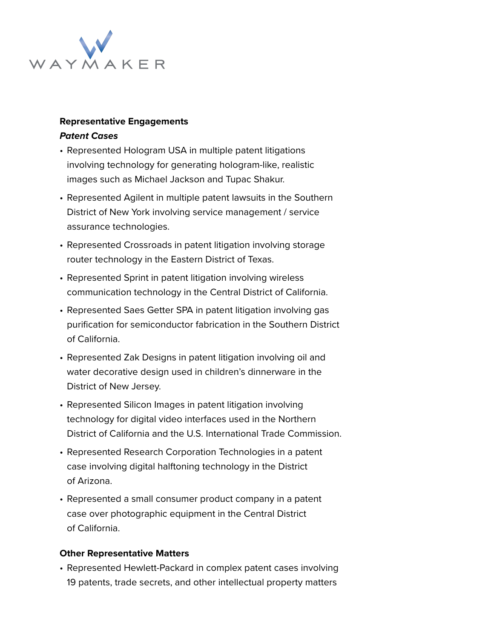

# **Representative Engagements**

### **Patent Cases**

- Represented Hologram USA in multiple patent litigations involving technology for generating hologram-like, realistic images such as Michael Jackson and Tupac Shakur.
- Represented Agilent in multiple patent lawsuits in the Southern District of New York involving service management / service assurance technologies.
- Represented Crossroads in patent litigation involving storage router technology in the Eastern District of Texas.
- Represented Sprint in patent litigation involving wireless communication technology in the Central District of California.
- Represented Saes Getter SPA in patent litigation involving gas purification for semiconductor fabrication in the Southern District of California.
- Represented Zak Designs in patent litigation involving oil and water decorative design used in children's dinnerware in the District of New Jersey.
- Represented Silicon Images in patent litigation involving technology for digital video interfaces used in the Northern District of California and the U.S. International Trade Commission.
- Represented Research Corporation Technologies in a patent case involving digital halftoning technology in the District of Arizona.
- Represented a small consumer product company in a patent case over photographic equipment in the Central District of California.

## **Other Representative Matters**

• Represented Hewlett-Packard in complex patent cases involving 19 patents, trade secrets, and other intellectual property matters